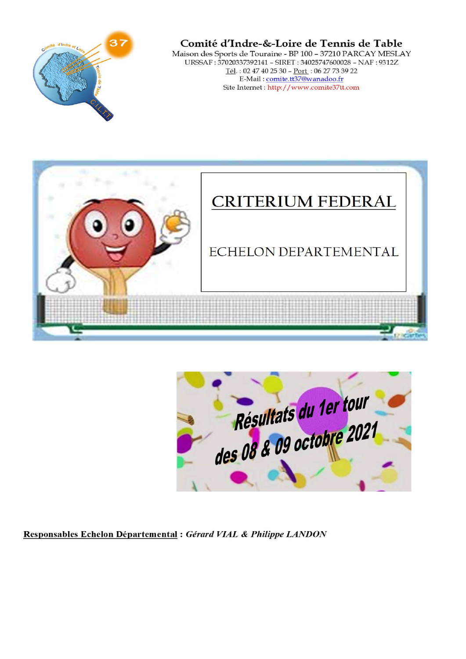

#### Comité d'Indre-&-Loire de Tennis de Table

Maison des Sports de Touraine - BP 100 - 37210 PARCAY MESLAY URSSAF: 37020337392141 - SIRET: 34025747600028 - NAF: 9312Z  $\underbrace{\text{T\'el}}_{\text{E-Mail}}: 02\,47\,40\,25\,30 - \underline{\text{Port}}_{\text{1}}: 06\,27\,73\,39\,22\\ \text{E-Mail}: \underline{\text{comite.tt37@wanadoo.fr}}$ Site Internet: http://www.comite37tt.com



|                          | Résultats du 1er tour |  |  |
|--------------------------|-----------------------|--|--|
| des 08 & 09 octobre 2021 |                       |  |  |
|                          |                       |  |  |

Responsables Echelon Départemental : Gérard VIAL & Philippe LANDON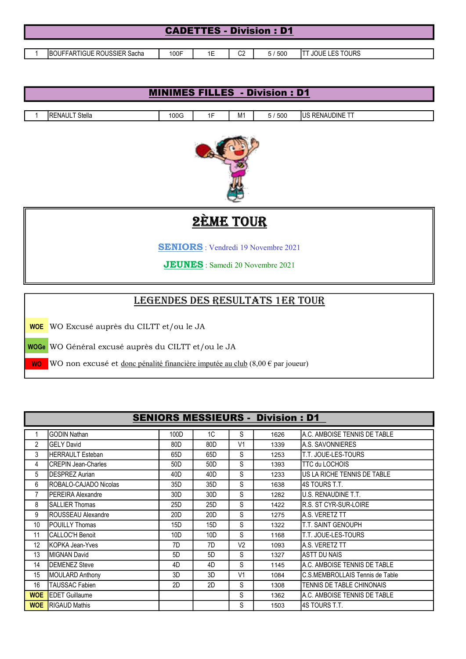| <b>CADETTES - Division: D1</b> |  |                                     |      |    |                |       |                       |  |  |
|--------------------------------|--|-------------------------------------|------|----|----------------|-------|-----------------------|--|--|
|                                |  |                                     |      |    |                |       |                       |  |  |
|                                |  | <b>IBOUFFARTIGUE ROUSSIER Sacha</b> | 100F | 1Ε | C <sub>2</sub> | 5/500 | <b>JOUE LES TOURS</b> |  |  |

| <b>MINIMES FILLES - Division : D1</b> |      |    |                |                      |                |  |  |  |
|---------------------------------------|------|----|----------------|----------------------|----------------|--|--|--|
|                                       |      |    |                |                      |                |  |  |  |
| Stella<br><b>IRENAUL</b>              | 100G | íΕ | M <sub>1</sub> | $^{\prime}500$<br>5/ | US RENAUDINE 1 |  |  |  |
|                                       |      |    |                |                      |                |  |  |  |



# **2ÈME TOUR**

SENIORS : Vendredi 19 Novembre 2021

JEUNES : Samedi 20 Novembre 2021

# legendes des resultats 1er tOur

WOE WO Excusé auprès du CILTT et/ou le JA

WOGe WO Général excusé auprès du CILTT et/ou le JA

WO WO non excusé et <u>donc pénalité financière imputée au club</u>  $(8,00 \in \text{par}$  joueur)

|                |                               | <b>SENIORS MESSIEURS - Division : D1</b> |                 |                |      |                                 |
|----------------|-------------------------------|------------------------------------------|-----------------|----------------|------|---------------------------------|
|                | <b>GODIN Nathan</b>           | 100D                                     | 1C              | S              | 1626 | A.C. AMBOISE TENNIS DE TABLE    |
| $\overline{2}$ | <b>GELY David</b>             | 80D                                      | 80D             | V <sub>1</sub> | 1339 | IA.S. SAVONNIERES               |
| 3              | <b>HERRAULT Esteban</b>       | 65D                                      | 65D             | S              | 1253 | T.T. JOUE-LES-TOURS             |
| 4              | <b>CREPIN Jean-Charles</b>    | 50 <sub>D</sub>                          | 50D             | S              | 1393 | <b>TTC du LOCHOIS</b>           |
| 5              | <b>DESPREZ Aurian</b>         | 40D                                      | 40D             | S              | 1233 | US LA RICHE TENNIS DE TABLE     |
| 6              | <b>IROBALO-CAJADO Nicolas</b> | 35D                                      | 35D             | S              | 1638 | I4S TOURS T.T.                  |
| 7              | <b>IPEREIRA Alexandre</b>     | 30D                                      | 30D             | S              | 1282 | U.S. RENAUDINE T.T.             |
| 8              | <b>SALLIER Thomas</b>         | 25D                                      | 25D             | S              | 1422 | R.S. ST CYR-SUR-LOIRE           |
| 9              | ROUSSEAU Alexandre            | 20 <sub>D</sub>                          | 20 <sub>D</sub> | S              | 1275 | <b>A.S. VERETZ TT</b>           |
| 10             | <b>IPOUILLY Thomas</b>        | 15D                                      | 15D             | S              | 1322 | <b>T.T. SAINT GENOUPH</b>       |
| 11             | <b>CALLOC'H Benoit</b>        | 10D                                      | 10D             | S              | 1168 | T.T. JOUE-LES-TOURS             |
| 12             | KOPKA Jean-Yves               | 7D                                       | 7D              | V <sub>2</sub> | 1093 | A.S. VERETZ TT                  |
| 13             | MIGNAN David                  | 5D                                       | 5D              | S              | 1327 | ASTT DU NAIS                    |
| 14             | <b>DEMENEZ Steve</b>          | 4D                                       | 4D              | S              | 1145 | IA.C. AMBOISE TENNIS DE TABLE   |
| 15             | <b>MOULARD Anthony</b>        | 3D                                       | 3D              | V <sub>1</sub> | 1084 | C.S.MEMBROLLAIS Tennis de Table |
| 16             | TAUSSAC Fabien                | 2D                                       | 2D              | S              | 1308 | TENNIS DE TABLE CHINONAIS       |
| <b>WOE</b>     | <b>EDET Guillaume</b>         |                                          |                 | S              | 1362 | IA.C. AMBOISE TENNIS DE TABLE.  |
| <b>WOE</b>     | <b>RIGAUD Mathis</b>          |                                          |                 | S              | 1503 | I4S TOURS T.T.                  |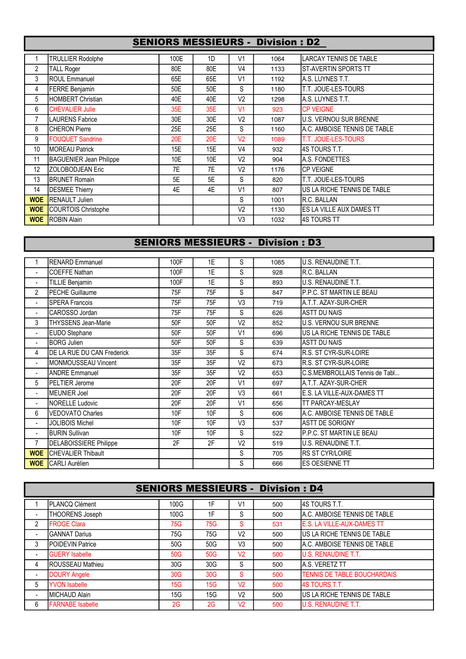## SENIORS MESSIEURS - Division : D2

|            | <b>TRULLIER Rodolphe</b>       | 100E | 1D  | V <sub>1</sub> | 1064 | <b>ILARCAY TENNIS DE TABLE</b> |
|------------|--------------------------------|------|-----|----------------|------|--------------------------------|
| 2          | <b>TALL Roger</b>              | 80E  | 80E | V <sub>4</sub> | 1133 | IST-AVERTIN SPORTS TT          |
| 3          | ROUL Emmanuel                  | 65E  | 65E | V <sub>1</sub> | 1192 | IA.S. LUYNES T.T.              |
| 4          | FERRE Benjamin                 | 50E  | 50E | S              | 1180 | IT.T. JOUE-LES-TOURS           |
| 5          | HOMBERT Christian              | 40E  | 40E | V <sub>2</sub> | 1298 | IA.S. LUYNES T.T.              |
| 6          | <b>CHEVALIER Julie</b>         | 35E  | 35E | V <sub>1</sub> | 923  | <b>CP VEIGNE</b>               |
| 7          | <b>LAURENS Fabrice</b>         | 30E  | 30E | V <sub>2</sub> | 1087 | U.S. VERNOU SUR BRENNE         |
| 8          | <b>CHERON Pierre</b>           | 25E  | 25E | S              | 1160 | IA.C. AMBOISE TENNIS DE TABLE. |
| 9          | <b>FOUQUET Sandrine</b>        | 20E  | 20E | V <sub>2</sub> | 1089 | <b>IT.T. JOUE-LES-TOURS</b>    |
| 10         | <b>MOREAU Patrick</b>          | 15E  | 15E | V <sub>4</sub> | 932  | I4S TOURS T.T.                 |
| 11         | <b>BAGUENIER Jean Philippe</b> | 10E  | 10E | V <sub>2</sub> | 904  | <b>IA.S. FONDETTES</b>         |
| 12         | ZOLOBODJEAN Eric               | 7E   | 7E  | V <sub>2</sub> | 1176 | <b>ICP VEIGNE</b>              |
| 13         | <b>BRUNET Romain</b>           | 5E   | 5E  | S              | 820  | IT.T. JOUE-LES-TOURS           |
| 14         | <b>DESMEE Thierry</b>          | 4E   | 4E  | V <sub>1</sub> | 807  | US LA RICHE TENNIS DE TABLE    |
| <b>WOE</b> | <b>RENAULT Julien</b>          |      |     | S              | 1001 | IR.C. BALLAN                   |
| <b>WOE</b> | COURTOIS Christophe            |      |     | V <sub>2</sub> | 1130 | ES LA VILLE AUX DAMES TT       |
| <b>WOE</b> | <b>ROBIN Alain</b>             |      |     | V <sub>3</sub> | 1032 | I4S TOURS TT                   |

# SENIORS MESSIEURS - Division : D3

|                          | <b>RENARD Emmanuel</b>        | 100F | 1E  | S              | 1085 | U.S. RENAUDINE T.T.            |
|--------------------------|-------------------------------|------|-----|----------------|------|--------------------------------|
| $\sim$                   | <b>COEFFE Nathan</b>          | 100F | 1E  | S              | 928  | R.C. BALLAN                    |
| $\blacksquare$           | <b>TILLIE Benjamin</b>        | 100F | 1E  | S              | 893  | U.S. RENAUDINE T.T.            |
| 2                        | <b>PECHE Guillaume</b>        | 75F  | 75F | S              | 847  | P.P.C. ST MARTIN LE BEAU       |
| $\blacksquare$           | <b>SPERA Francois</b>         | 75F  | 75F | V <sub>3</sub> | 719  | A.T.T. AZAY-SUR-CHER           |
| $\blacksquare$           | CAROSSO Jordan                | 75F  | 75F | S              | 626  | <b>ASTT DU NAIS</b>            |
| 3                        | <b>THYSSENS Jean-Marie</b>    | 50F  | 50F | V <sub>2</sub> | 852  | <b>U.S. VERNOU SUR BRENNE</b>  |
| $\overline{\phantom{a}}$ | EUDO Stephane                 | 50F  | 50F | V <sub>1</sub> | 696  | US LA RICHE TENNIS DE TABLE    |
| $\sim$                   | <b>BORG Julien</b>            | 50F  | 50F | S              | 639  | <b>ASTT DU NAIS</b>            |
| 4                        | DE LA RUE DU CAN Frederick    | 35F  | 35F | S              | 674  | R.S. ST CYR-SUR-LOIRE          |
| $\blacksquare$           | MONMOUSSEAU Vincent           | 35F  | 35F | V <sub>2</sub> | 673  | R.S. ST CYR-SUR-LOIRE          |
| $\blacksquare$           | <b>ANDRE Emmanuel</b>         | 35F  | 35F | V <sub>2</sub> | 653  | C.S.MEMBROLLAIS Tennis de Tabl |
| 5                        | <b>PELTIER Jerome</b>         | 20F  | 20F | V <sub>1</sub> | 697  | A.T.T. AZAY-SUR-CHER           |
| $\blacksquare$           | <b>MEUNIER Joel</b>           | 20F  | 20F | V <sub>3</sub> | 661  | E.S. LA VILLE-AUX-DAMES TT     |
| $\blacksquare$           | NORELLE Ludovic               | 20F  | 20F | V <sub>1</sub> | 656  | TT PARCAY-MESLAY               |
| 6                        | <b>VEDOVATO Charles</b>       | 10F  | 10F | S              | 606  | A.C. AMBOISE TENNIS DE TABLE   |
| $\blacksquare$           | <b>JOLIBOIS Michel</b>        | 10F  | 10F | V <sub>3</sub> | 537  | <b>ASTT DE SORIGNY</b>         |
| $\blacksquare$           | <b>BURIN Sullivan</b>         | 10F  | 10F | S              | 522  | P.P.C. ST MARTIN LE BEAU       |
| 7                        | <b>DELABOISSIERE Philippe</b> | 2F   | 2F  | V <sub>2</sub> | 519  | U.S. RENAUDINE T.T.            |
| <b>WOE</b>               | CHEVALIER Thibault            |      |     | S              | 705  | <b>RS ST CYR/LOIRE</b>         |
| <b>WOE</b>               | <b>CARLI Aurélien</b>         |      |     | S              | 666  | ES OESIENNE TT                 |
|                          |                               |      |     |                |      |                                |

|                | <b>SENIORS MESSIEURS - Division : D4</b> |      |     |                |     |                                     |  |  |  |  |
|----------------|------------------------------------------|------|-----|----------------|-----|-------------------------------------|--|--|--|--|
|                | PLANCQ Clément                           | 100G | 1F  | V <sub>1</sub> | 500 | 4S TOURS T.T.                       |  |  |  |  |
| ٠              | THOORENS Joseph                          | 100G | 1F  | S              | 500 | A.C. AMBOISE TENNIS DE TABLE        |  |  |  |  |
| 2              | <b>FROGE Clara</b>                       | 75G  | 75G | S              | 531 | E.S. LA VILLE-AUX-DAMES TT          |  |  |  |  |
| $\blacksquare$ | <b>GANNAT Darius</b>                     | 75G  | 75G | V <sub>2</sub> | 500 | US LA RICHE TENNIS DE TABLE         |  |  |  |  |
| 3              | <b>POIDEVIN Patrice</b>                  | 50G  | 50G | V <sub>3</sub> | 500 | A.C. AMBOISE TENNIS DE TABLE        |  |  |  |  |
| $\blacksquare$ | <b>GUERY</b> Isabelle                    | 50G  | 50G | V <sub>2</sub> | 500 | <b>U.S. RENAUDINE T.T.</b>          |  |  |  |  |
| 4              | <b>IROUSSEAU Mathieu</b>                 | 30G  | 30G | S              | 500 | <b>A.S. VERETZ TT</b>               |  |  |  |  |
|                | <b>DOURY Angele</b>                      | 30G  | 30G | S              | 500 | <b>TENNIS DE TABLE BOUCHARDAIS</b>  |  |  |  |  |
| 5              | <b>YVON Isabelle</b>                     | 15G  | 15G | V <sub>2</sub> | 500 | <b>4S TOURS T.T.</b>                |  |  |  |  |
| $\blacksquare$ | MICHAUD Alain                            | 15G  | 15G | V <sub>2</sub> | 500 | <b>IUS LA RICHE TENNIS DE TABLE</b> |  |  |  |  |
| 6              | <b>FARNABE Isabelle</b>                  | 2G   | 2G  | V <sub>2</sub> | 500 | <b>U.S. RENAUDINE T.T.</b>          |  |  |  |  |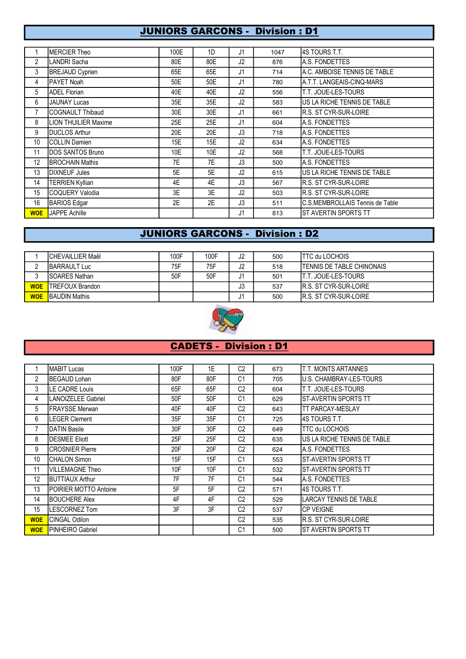#### **JUNIORS GARCONS - Division : D1**

|                | <b>IMERCIER Theo</b>        | 100E | 1 <sub>D</sub> | J1             | 1047 | I4S TOURS T.T.                  |
|----------------|-----------------------------|------|----------------|----------------|------|---------------------------------|
| $\overline{2}$ | LANDRI Sacha                | 80E  | 80E            | J2             | 876  | A.S. FONDETTES                  |
| 3              | <b>BREJAUD Cyprien</b>      | 65E  | 65E            | J <sub>1</sub> | 714  | A.C. AMBOISE TENNIS DE TABLE    |
| 4              | IPAYET Noah                 | 50E  | 50E            | J <sub>1</sub> | 780  | IA.T.T. LANGEAIS-CINQ-MARS      |
| 5              | <b>ADEL Florian</b>         | 40E  | 40E            | J2             | 556  | T.T. JOUE-LES-TOURS             |
| 6              | <b>JAUNAY Lucas</b>         | 35E  | 35E            | J2             | 583  | US LA RICHE TENNIS DE TABLE     |
| 7              | <b>ICOGNAULT Thibaud</b>    | 30E  | 30E            | J <sub>1</sub> | 661  | R.S. ST CYR-SUR-LOIRE           |
| 8              | <b>LION THUILIER Maxime</b> | 25E  | 25E            | J1             | 604  | IA.S. FONDETTES                 |
| 9              | <b>IDUCLOS Arthur</b>       | 20E  | 20E            | J3             | 718  | A.S. FONDETTES                  |
| 10             | <b>I</b> COLLIN Damien      | 15E  | 15E            | J2             | 634  | A.S. FONDETTES                  |
| 11             | <b>IDOS SANTOS Bruno</b>    | 10E  | 10E            | J2             | 568  | <b>T.T. JOUE-LES-TOURS</b>      |
| 12             | <b>BROCHAIN Mathis</b>      | 7E   | 7E             | J3             | 500  | A.S. FONDETTES                  |
| 13             | DIXNEUF Jules               | 5E   | 5E             | J2             | 615  | US LA RICHE TENNIS DE TABLE     |
| 14             | <b>TERRIEN Kyllian</b>      | 4E   | 4E             | J3             | 567  | R.S. ST CYR-SUR-LOIRE           |
| 15             | COQUERY Valodia             | 3E   | 3E             | J2             | 503  | R.S. ST CYR-SUR-LOIRE           |
| 16             | <b>BARIOS Edgar</b>         | 2E   | 2E             | J3             | 511  | C.S.MEMBROLLAIS Tennis de Table |
| <b>WOE</b>     | <b>JAPPE Achille</b>        |      |                | J1             | 813  | IST AVERTIN SPORTS TT           |

## **JUNIORS GARCONS - Division : D2**

|            | <b>ICHEVAILLIER Maël</b> | 100F | 100F | J2 | 500 | <b>ITTC du LOCHOIS</b>            |
|------------|--------------------------|------|------|----|-----|-----------------------------------|
|            | <b>IBARRAULT Luc</b>     | 75F. | 75F  | J2 | 518 | <b>ITENNIS DE TABLE CHINONAIS</b> |
|            | <b>ISOARES Nathan</b>    | 50F  | 50F  | J1 | 501 | <b>IT.T. JOUE-LES-TOURS</b>       |
| <b>WOE</b> | <b>ITREFOUX Brandon</b>  |      |      | J3 | 537 | <b>IR.S. ST CYR-SUR-LOIRE</b>     |
| <b>WOE</b> | <b>BAUDIN Mathis</b>     |      |      | J1 | 500 | IR.S. ST CYR-SUR-LOIRE            |



#### **CADETS - Division : D1**

|                | <b>MABIT Lucas</b>     | 100F | 1E  | C <sub>2</sub> | 673 | T.T. MONTS ARTANNES           |
|----------------|------------------------|------|-----|----------------|-----|-------------------------------|
| $\overline{2}$ | BEGAUD Lohan           | 80F  | 80F | C <sub>1</sub> | 705 | U.S. CHAMBRAY-LES-TOURS       |
| 3              | LE CADRE Louis         | 65F  | 65F | C <sub>2</sub> | 604 | T.T. JOUE-LES-TOURS           |
| 4              | LANOIZELEE Gabriel     | 50F  | 50F | C <sub>1</sub> | 629 | <b>ST-AVERTIN SPORTS TT</b>   |
| 5              | <b>FRAYSSE Merwan</b>  | 40F  | 40F | C <sub>2</sub> | 643 | ITT PARCAY-MESLAY             |
| 6              | LEGER Clement          | 35F  | 35F | C <sub>1</sub> | 725 | I4S TOURS T.T.                |
| 7              | <b>DATIN Basile</b>    | 30F  | 30F | C <sub>2</sub> | 649 | <b>TTC du LOCHOIS</b>         |
| 8              | <b>DESMEE Eliott</b>   | 25F  | 25F | C <sub>2</sub> | 635 | IUS LA RICHE TENNIS DE TABLE  |
| 9              | <b>CROSNIER Pierre</b> | 20F  | 20F | C <sub>2</sub> | 624 | IA.S. FONDETTES               |
| 10             | CHALON Simon           | 15F  | 15F | C <sub>1</sub> | 553 | <b>ST-AVERTIN SPORTS TT</b>   |
| 11             | VILLEMAGNE Theo        | 10F  | 10F | C <sub>1</sub> | 532 | IST-AVERTIN SPORTS TT         |
| 12             | <b>BUTTIAUX Arthur</b> | 7F   | 7F  | C <sub>1</sub> | 544 | IA.S. FONDETTES               |
| 13             | POIRIER MOTTO Antoine  | 5F   | 5F  | C <sub>2</sub> | 571 | 14S TOURS T.T.                |
| 14             | <b>BOUCHERE Alex</b>   | 4F   | 4F  | C <sub>2</sub> | 529 | <b>LARCAY TENNIS DE TABLE</b> |
| 15             | LESCORNEZ Tom          | 3F   | 3F  | C <sub>2</sub> | 537 | <b>CP VEIGNE</b>              |
| <b>WOE</b>     | CINGAL Odilon          |      |     | C <sub>2</sub> | 535 | IR.S. ST CYR-SUR-LOIRE        |
| <b>WOE</b>     | PINHEIRO Gabriel       |      |     | C <sub>1</sub> | 500 | <b>ST AVERTIN SPORTS TT</b>   |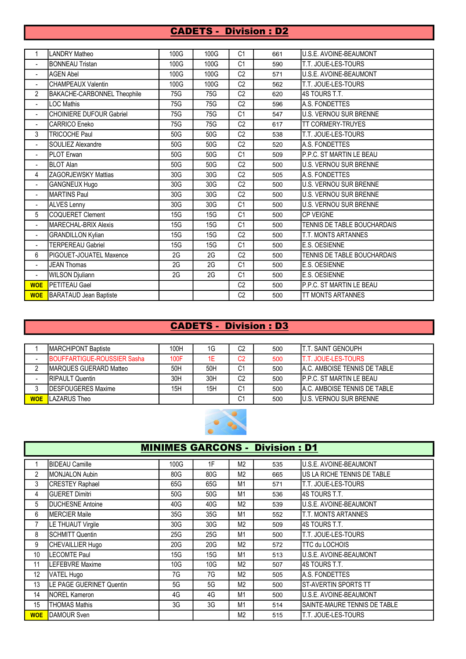## CADETS - Division : D2

| 1                        | <b>LANDRY Matheo</b>               | 100G | 100G | C <sub>1</sub> | 661 | U.S.E. AVOINE-BEAUMONT        |
|--------------------------|------------------------------------|------|------|----------------|-----|-------------------------------|
| $\mathbf{r}$             | <b>BONNEAU Tristan</b>             | 100G | 100G | C <sub>1</sub> | 590 | T.T. JOUE-LES-TOURS           |
| $\blacksquare$           | <b>AGEN Abel</b>                   | 100G | 100G | C <sub>2</sub> | 571 | U.S.E. AVOINE-BEAUMONT        |
| $\blacksquare$           | <b>CHAMPEAUX Valentin</b>          | 100G | 100G | C <sub>2</sub> | 562 | T.T. JOUE-LES-TOURS           |
| $\overline{2}$           | <b>BAKACHE-CARBONNEL Theophile</b> | 75G  | 75G  | C <sub>2</sub> | 620 | 4S TOURS T.T.                 |
| $\blacksquare$           | <b>LOC Mathis</b>                  | 75G  | 75G  | C <sub>2</sub> | 596 | A.S. FONDETTES                |
| $\blacksquare$           | <b>CHOINIERE DUFOUR Gabriel</b>    | 75G  | 75G  | C <sub>1</sub> | 547 | <b>U.S. VERNOU SUR BRENNE</b> |
| $\blacksquare$           | CARRICO Eneko                      | 75G  | 75G  | C <sub>2</sub> | 617 | <b>TT CORMERY-TRUYES</b>      |
| 3                        | <b>TRICOCHE Paul</b>               | 50G  | 50G  | C <sub>2</sub> | 538 | <b>T.T. JOUE-LES-TOURS</b>    |
| $\overline{a}$           | SOULIEZ Alexandre                  | 50G  | 50G  | C <sub>2</sub> | 520 | A.S. FONDETTES                |
| $\overline{\phantom{a}}$ | PLOT Erwan                         | 50G  | 50G  | C <sub>1</sub> | 509 | P.P.C. ST MARTIN LE BEAU      |
| $\blacksquare$           | <b>BLOT Alan</b>                   | 50G  | 50G  | C <sub>2</sub> | 500 | U.S. VERNOU SUR BRENNE        |
| 4                        | <b>ZAGORJEWSKY Mattias</b>         | 30G  | 30G  | C <sub>2</sub> | 505 | A.S. FONDETTES                |
| $\overline{\phantom{a}}$ | <b>GANGNEUX Hugo</b>               | 30G  | 30G  | C <sub>2</sub> | 500 | U.S. VERNOU SUR BRENNE        |
| $\blacksquare$           | <b>MARTINS Paul</b>                | 30G  | 30G  | C <sub>2</sub> | 500 | U.S. VERNOU SUR BRENNE        |
| $\blacksquare$           | <b>ALVES Lenny</b>                 | 30G  | 30G  | C <sub>1</sub> | 500 | U.S. VERNOU SUR BRENNE        |
| 5                        | <b>COQUERET Clement</b>            | 15G  | 15G  | C <sub>1</sub> | 500 | <b>CP VEIGNE</b>              |
| $\blacksquare$           | MARECHAL-BRIX Alexis               | 15G  | 15G  | C <sub>1</sub> | 500 | TENNIS DE TABLE BOUCHARDAIS   |
| $\blacksquare$           | <b>GRANDILLON Kylian</b>           | 15G  | 15G  | C <sub>2</sub> | 500 | <b>T.T. MONTS ARTANNES</b>    |
| $\blacksquare$           | <b>TERPEREAU Gabriel</b>           | 15G  | 15G  | C <sub>1</sub> | 500 | E.S. OESIENNE                 |
| 6                        | <b>IPIGOUET-JOUATEL Maxence</b>    | 2G   | 2G   | C <sub>2</sub> | 500 | TENNIS DE TABLE BOUCHARDAIS   |
| $\blacksquare$           | <b>JEAN Thomas</b>                 | 2G   | 2G   | C <sub>1</sub> | 500 | E.S. OESIENNE                 |
| $\overline{\phantom{a}}$ | <b>WILSON Djuliann</b>             | 2G   | 2G   | C <sub>1</sub> | 500 | E.S. OESIENNE                 |
| <b>WOE</b>               | PETITEAU Gael                      |      |      | C <sub>2</sub> | 500 | P.P.C. ST MARTIN LE BEAU      |
| <b>WOE</b>               | <b>BARATAUD Jean Baptiste</b>      |      |      | C <sub>2</sub> | 500 | <b>TT MONTS ARTANNES</b>      |

# CADETS - Division : D3

|            | <b>IMARCHIPONT Baptiste</b>        | 100H | 1G  | C <sub>2</sub> | 500 | IT.T. SAINT GENOUPH            |
|------------|------------------------------------|------|-----|----------------|-----|--------------------------------|
|            | <b>BOUFFARTIGUE-ROUSSIER Sasha</b> | 100F | 1E  | C <sub>2</sub> | 500 | <b>IT.T. JOUE-LES-TOURS</b>    |
|            | <b>IMARQUES GUERARD Matteo</b>     | 50H  | 50H | C <sub>1</sub> | 500 | IA.C. AMBOISE TENNIS DE TABLE  |
|            | <b>IRIPAULT Quentin</b>            | 30H  | 30H | C2             | 500 | IP.P.C. ST MARTIN LE BEAU      |
|            | <b>IDESFOUGERES Maxime</b>         | 15H  | 15H | C <sub>1</sub> | 500 | IA.C. AMBOISE TENNIS DE TABLE  |
| <b>WOE</b> | <b>LAZARUS</b> Theo                |      |     | C <sub>1</sub> | 500 | <b>IU.S. VERNOU SUR BRENNE</b> |



| <b>MINIMES GARCONS - Division : D1</b> |                                 |      |     |                |     |                              |  |
|----------------------------------------|---------------------------------|------|-----|----------------|-----|------------------------------|--|
|                                        | <b>BIDEAU Camille</b>           | 100G | 1F  | M <sub>2</sub> | 535 | U.S.E. AVOINE-BEAUMONT       |  |
| $\overline{2}$                         | <b>MONJALON Aubin</b>           | 80G  | 80G | M <sub>2</sub> | 665 | US LA RICHE TENNIS DE TABLE  |  |
| 3                                      | <b>CRESTEY Raphael</b>          | 65G  | 65G | M1             | 571 | T.T. JOUE-LES-TOURS          |  |
| 4                                      | <b>GUERET Dimitri</b>           | 50G  | 50G | M1             | 536 | 4S TOURS T.T.                |  |
| 5                                      | <b>DUCHESNE Antoine</b>         | 40G  | 40G | M <sub>2</sub> | 539 | U.S.E. AVOINE-BEAUMONT       |  |
| 6                                      | IMERCIER Maile                  | 35G  | 35G | M1             | 552 | T.T. MONTS ARTANNES          |  |
| 7                                      | LE THUAUT Virgile               | 30G  | 30G | M <sub>2</sub> | 509 | I4S TOURS T.T.               |  |
| 8                                      | <b>SCHMITT Quentin</b>          | 25G  | 25G | M <sub>1</sub> | 500 | T.T. JOUE-LES-TOURS          |  |
| 9                                      | CHEVAILLIER Hugo                | 20G  | 20G | M <sub>2</sub> | 572 | <b>TTC du LOCHOIS</b>        |  |
| 10                                     | <b>LECOMTE Paul</b>             | 15G  | 15G | M <sub>1</sub> | 513 | U.S.E. AVOINE-BEAUMONT       |  |
| 11                                     | <b>LEFEBVRE Maxime</b>          | 10G  | 10G | M <sub>2</sub> | 507 | 14S TOURS T.T.               |  |
| 12                                     | VATEL Hugo                      | 7G   | 7G  | M <sub>2</sub> | 505 | A.S. FONDETTES               |  |
| 13                                     | <b>LE PAGE GUERINET Quentin</b> | 5G   | 5G  | M <sub>2</sub> | 500 | ST-AVERTIN SPORTS TT         |  |
| 14                                     | <b>NOREL Kameron</b>            | 4G   | 4G  | M <sub>1</sub> | 500 | U.S.E. AVOINE-BEAUMONT       |  |
| 15                                     | <b>THOMAS Mathis</b>            | 3G   | 3G  | M1             | 514 | SAINTE-MAURE TENNIS DE TABLE |  |
| <b>WOE</b>                             | DAMOUR Sven                     |      |     | M <sub>2</sub> | 515 | T.T. JOUE-LES-TOURS          |  |